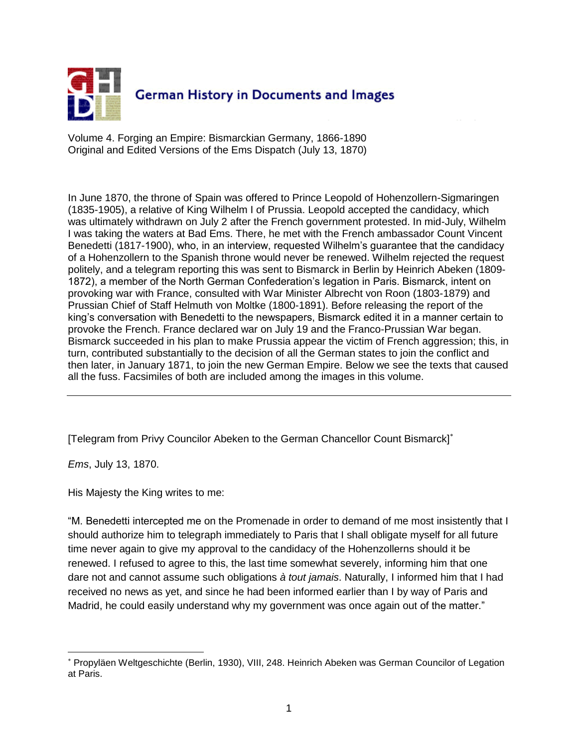

Volume 4. Forging an Empire: Bismarckian Germany, 1866-1890 Original and Edited Versions of the Ems Dispatch (July 13, 1870)

In June 1870, the throne of Spain was offered to Prince Leopold of Hohenzollern-Sigmaringen (1835-1905), a relative of King Wilhelm I of Prussia. Leopold accepted the candidacy, which was ultimately withdrawn on July 2 after the French government protested. In mid-July, Wilhelm I was taking the waters at Bad Ems. There, he met with the French ambassador Count Vincent Benedetti (1817-1900), who, in an interview, requested Wilhelm's guarantee that the candidacy of a Hohenzollern to the Spanish throne would never be renewed. Wilhelm rejected the request politely, and a telegram reporting this was sent to Bismarck in Berlin by Heinrich Abeken (1809- 1872), a member of the North German Confederation's legation in Paris. Bismarck, intent on provoking war with France, consulted with War Minister Albrecht von Roon (1803-1879) and Prussian Chief of Staff Helmuth von Moltke (1800-1891). Before releasing the report of the king's conversation with Benedetti to the newspapers, Bismarck edited it in a manner certain to provoke the French. France declared war on July 19 and the Franco-Prussian War began. Bismarck succeeded in his plan to make Prussia appear the victim of French aggression; this, in turn, contributed substantially to the decision of all the German states to join the conflict and then later, in January 1871, to join the new German Empire. Below we see the texts that caused all the fuss. Facsimiles of both are included among the images in this volume.

[Telegram from Privy Councilor Abeken to the German Chancellor Count Bismarck]

*Ems*, July 13, 1870.

 $\overline{a}$ 

His Majesty the King writes to me:

"M. Benedetti intercepted me on the Promenade in order to demand of me most insistently that I should authorize him to telegraph immediately to Paris that I shall obligate myself for all future time never again to give my approval to the candidacy of the Hohenzollerns should it be renewed. I refused to agree to this, the last time somewhat severely, informing him that one dare not and cannot assume such obligations *à tout jamais*. Naturally, I informed him that I had received no news as yet, and since he had been informed earlier than I by way of Paris and Madrid, he could easily understand why my government was once again out of the matter."

Propyläen Weltgeschichte (Berlin, 1930), VIII, 248. Heinrich Abeken was German Councilor of Legation at Paris.